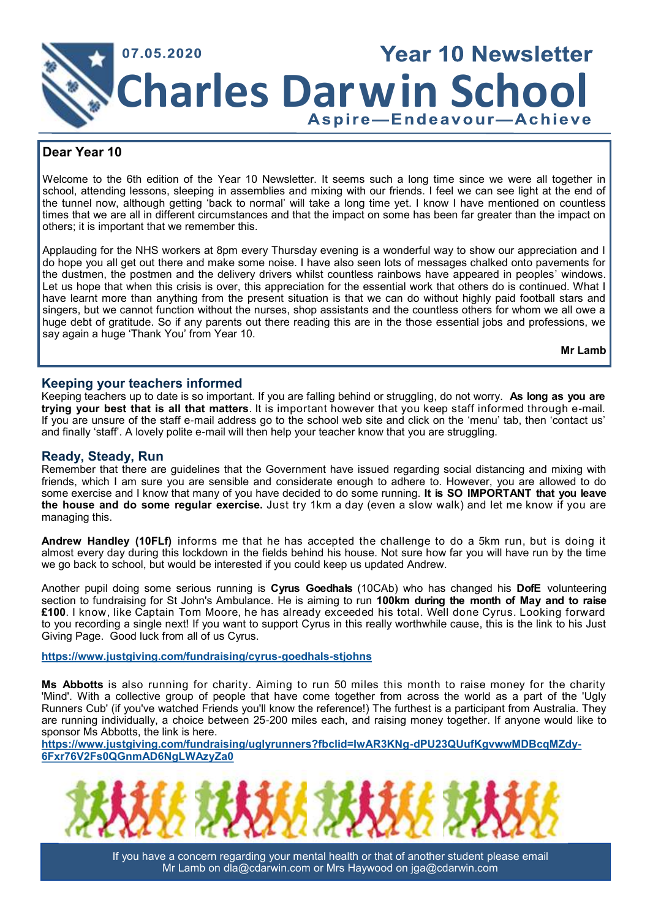

### **Dear Year 10**

Welcome to the 6th edition of the Year 10 Newsletter. It seems such a long time since we were all together in school, attending lessons, sleeping in assemblies and mixing with our friends. I feel we can see light at the end of the tunnel now, although getting 'back to normal' will take a long time yet. I know I have mentioned on countless times that we are all in different circumstances and that the impact on some has been far greater than the impact on others; it is important that we remember this.

Applauding for the NHS workers at 8pm every Thursday evening is a wonderful way to show our appreciation and I do hope you all get out there and make some noise. I have also seen lots of messages chalked onto pavements for the dustmen, the postmen and the delivery drivers whilst countless rainbows have appeared in peoples' windows. Let us hope that when this crisis is over, this appreciation for the essential work that others do is continued. What I have learnt more than anything from the present situation is that we can do without highly paid football stars and singers, but we cannot function without the nurses, shop assistants and the countless others for whom we all owe a huge debt of gratitude. So if any parents out there reading this are in the those essential jobs and professions, we say again a huge 'Thank You' from Year 10.

**Mr Lamb**

#### **Keeping your teachers informed**

Keeping teachers up to date is so important. If you are falling behind or struggling, do not worry. **As long as you are trying your best that is all that matters**. It is important however that you keep staff informed through e-mail. If you are unsure of the staff e-mail address go to the school web site and click on the 'menu' tab, then 'contact us' and finally 'staff'. A lovely polite e-mail will then help your teacher know that you are struggling.

#### **Ready, Steady, Run**

Remember that there are guidelines that the Government have issued regarding social distancing and mixing with friends, which I am sure you are sensible and considerate enough to adhere to. However, you are allowed to do some exercise and I know that many of you have decided to do some running. **It is SO IMPORTANT that you leave the house and do some regular exercise.** Just try 1km a day (even a slow walk) and let me know if you are managing this.

**Andrew Handley (10FLf)** informs me that he has accepted the challenge to do a 5km run, but is doing it almost every day during this lockdown in the fields behind his house. Not sure how far you will have run by the time we go back to school, but would be interested if you could keep us updated Andrew.

Another pupil doing some serious running is **Cyrus Goedhals** (10CAb) who has changed his **DofE** volunteering section to fundraising for St John's Ambulance. He is aiming to run **100km during the month of May and to raise £100**. I know, like Captain Tom Moore, he has already exceeded his total. Well done Cyrus. Looking forward to you recording a single next! If you want to support Cyrus in this really worthwhile cause, this is the link to his Just Giving Page. Good luck from all of us Cyrus.

**<https://www.justgiving.com/fundraising/cyrus-goedhals-stjohns>**

**Ms Abbotts** is also running for charity. Aiming to run 50 miles this month to raise money for the charity 'Mind'. With a collective group of people that have come together from across the world as a part of the 'Ugly Runners Cub' (if you've watched Friends you'll know the reference!) The furthest is a participant from Australia. They are running individually, a choice between 25-200 miles each, and raising money together. If anyone would like to sponsor Ms Abbotts, the link is here.

**[https://www.justgiving.com/fundraising/uglyrunners?fbclid=IwAR3KNg-dPU23QUufKgvwwMDBcqMZdy-](https://www.justgiving.com/fundraising/uglyrunners?fbclid=IwAR3KNg-dPU23QUufKgvwwMDBcqMZdy-6Fxr76V2Fs0QGnmAD6NgLWAzyZa0)[6Fxr76V2Fs0QGnmAD6NgLWAzyZa0](https://www.justgiving.com/fundraising/uglyrunners?fbclid=IwAR3KNg-dPU23QUufKgvwwMDBcqMZdy-6Fxr76V2Fs0QGnmAD6NgLWAzyZa0)**



If you have a concern regarding your mental health or that of another student please email Mr Lamb on dla@cdarwin.com or Mrs Haywood on jga@cdarwin.com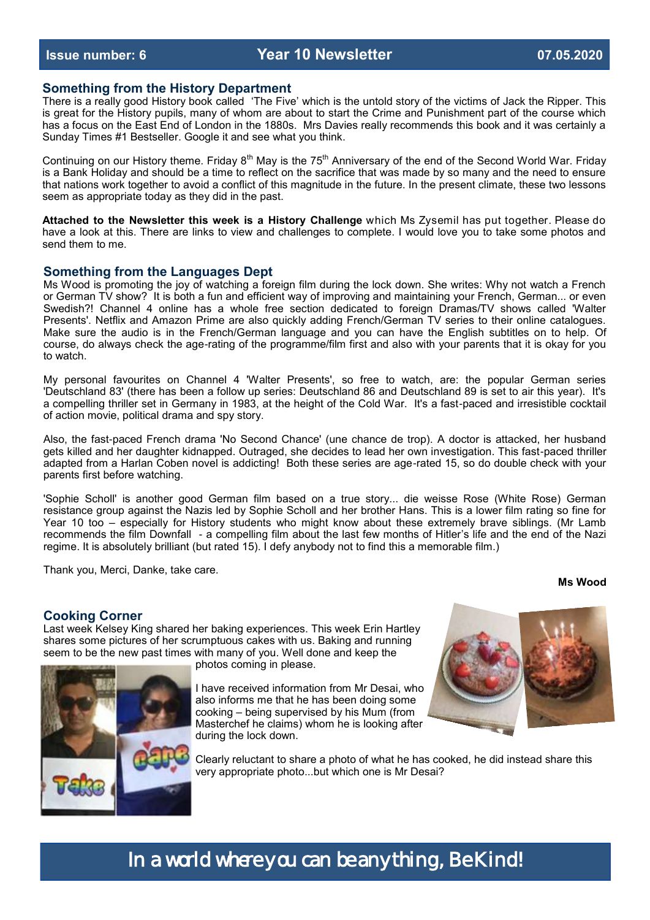#### **Something from the History Department**

There is a really good History book called 'The Five' which is the untold story of the victims of Jack the Ripper. This is great for the History pupils, many of whom are about to start the Crime and Punishment part of the course which has a focus on the East End of London in the 1880s. Mrs Davies really recommends this book and it was certainly a Sunday Times #1 Bestseller. Google it and see what you think.

Continuing on our History theme. Friday  $8^{th}$  May is the 75<sup>th</sup> Anniversary of the end of the Second World War. Friday is a Bank Holiday and should be a time to reflect on the sacrifice that was made by so many and the need to ensure that nations work together to avoid a conflict of this magnitude in the future. In the present climate, these two lessons seem as appropriate today as they did in the past.

**Attached to the Newsletter this week is a History Challenge** which Ms Zysemil has put together. Please do have a look at this. There are links to view and challenges to complete. I would love you to take some photos and send them to me.

#### **Something from the Languages Dept**

Ms Wood is promoting the joy of watching a foreign film during the lock down. She writes: Why not watch a French or German TV show? It is both a fun and efficient way of improving and maintaining your French, German... or even Swedish?! Channel 4 online has a whole free section dedicated to foreign Dramas/TV shows called 'Walter Presents'. Netflix and Amazon Prime are also quickly adding French/German TV series to their online catalogues. Make sure the audio is in the French/German language and you can have the English subtitles on to help. Of course, do always check the age-rating of the programme/film first and also with your parents that it is okay for you to watch.

My personal favourites on Channel 4 'Walter Presents', so free to watch, are: the popular German series 'Deutschland 83' (there has been a follow up series: Deutschland 86 and Deutschland 89 is set to air this year). It's a compelling thriller set in Germany in 1983, at the height of the Cold War. It's a fast-paced and irresistible cocktail of action movie, political drama and spy story.

Also, the fast-paced French drama 'No Second Chance' (une chance de trop). A doctor is attacked, her husband gets killed and her daughter kidnapped. Outraged, she decides to lead her own investigation. This fast-paced thriller adapted from a Harlan Coben novel is addicting! Both these series are age-rated 15, so do double check with your parents first before watching.

'Sophie Scholl' is another good German film based on a true story... die weisse Rose (White Rose) German resistance group against the Nazis led by Sophie Scholl and her brother Hans. This is a lower film rating so fine for Year 10 too – especially for History students who might know about these extremely brave siblings. (Mr Lamb recommends the film Downfall - a compelling film about the last few months of Hitler's life and the end of the Nazi regime. It is absolutely brilliant (but rated 15). I defy anybody not to find this a memorable film.)

Thank you, Merci, Danke, take care.

# **Ms Wood**



Last week Kelsey King shared her baking experiences. This week Erin Hartley shares some pictures of her scrumptuous cakes with us. Baking and running seem to be the new past times with many of you. Well done and keep the



photos coming in please.

I have received information from Mr Desai, who also informs me that he has been doing some cooking – being supervised by his Mum (from Masterchef he claims) whom he is looking after during the lock down.



Clearly reluctant to share a photo of what he has cooked, he did instead share this very appropriate photo...but which one is Mr Desai?

# In a world where you can be anything, Be Kind!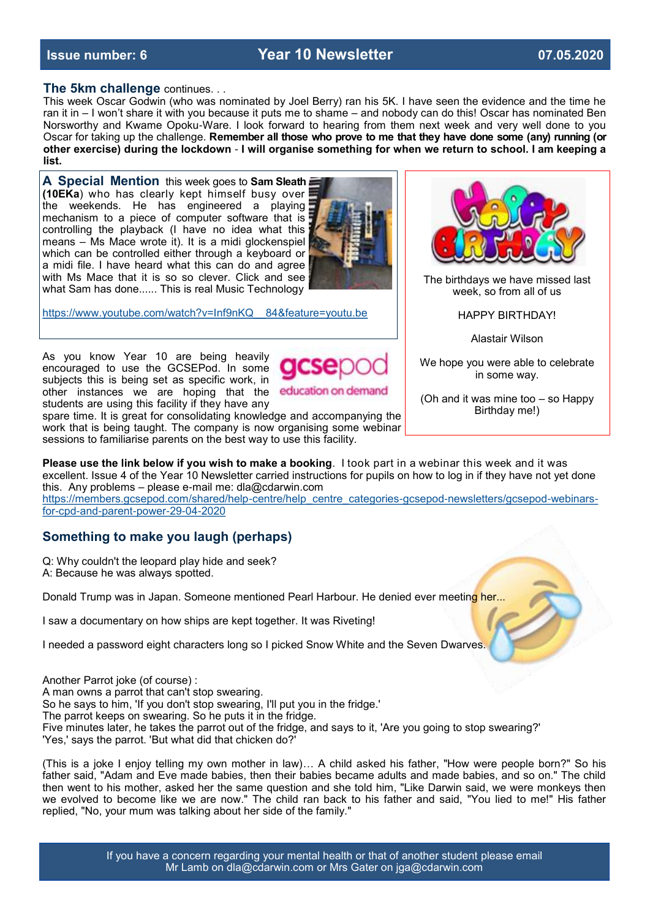### **Issue number: 6 Year 10 Newsletter 07.05.2020**

#### **The 5km challenge** continues. . .

This week Oscar Godwin (who was nominated by Joel Berry) ran his 5K. I have seen the evidence and the time he ran it in – I won't share it with you because it puts me to shame – and nobody can do this! Oscar has nominated Ben Norsworthy and Kwame Opoku-Ware. I look forward to hearing from them next week and very well done to you Oscar for taking up the challenge. **Remember all those who prove to me that they have done some (any) running (or other exercise) during the lockdown** - **I will organise something for when we return to school. I am keeping a list.**

**A Special Mention** this week goes to **Sam Sleath (10EKa)** who has clearly kept himself busy over the weekends. He has engineered a playing mechanism to a piece of computer software that is controlling the playback (I have no idea what this means – Ms Mace wrote it). It is a midi glockenspiel which can be controlled either through a keyboard or a midi file. I have heard what this can do and agree with Ms Mace that it is so so clever. Click and see what Sam has done...... This is real Music Technology

[https://www.youtube.com/watch?v=Inf9nKQ\\_\\_84&feature=youtu.be](https://www.youtube.com/watch?v=Inf9nKQ__84&feature=youtu.be)

As you know Year 10 are being heavily encouraged to use the GCSEPod. In some subjects this is being set as specific work, in other instances we are hoping that the education on demand students are using this facility if they have any



sessions to familiarise parents on the best way to use this facility.

The birthdays we have missed last week, so from all of us

HAPPY BIRTHDAY!

Alastair Wilson

We hope you were able to celebrate in some way.

(Oh and it was mine too – so Happy Birthday me!)

**Please use the link below if you wish to make a booking**. I took part in a webinar this week and it was excellent. Issue 4 of the Year 10 Newsletter carried instructions for pupils on how to log in if they have not yet done this. Any problems – please e-mail me: dla@cdarwin.com

[https://members.gcsepod.com/shared/help-centre/help\\_centre\\_categories-gcsepod-newsletters/gcsepod-webinars](https://members.gcsepod.com/shared/help-centre/help_centre_categories-gcsepod-newsletters/gcsepod-webinars-for-cpd-and-parent-power-29-04-2020)[for-cpd-and-parent-power-29-04-2020](https://members.gcsepod.com/shared/help-centre/help_centre_categories-gcsepod-newsletters/gcsepod-webinars-for-cpd-and-parent-power-29-04-2020)

#### **Something to make you laugh (perhaps)**

Q: Why couldn't the leopard play hide and seek? A: Because he was always spotted.

Donald Trump was in Japan. Someone mentioned Pearl Harbour. He denied ever meeting her...

I saw a documentary on how ships are kept together. It was Riveting!

I needed a password eight characters long so I picked Snow White and the Seven Dwarves.

Another Parrot joke (of course) : A man owns a parrot that can't stop swearing. So he says to him, 'If you don't stop swearing, I'll put you in the fridge.' The parrot keeps on swearing. So he puts it in the fridge. Five minutes later, he takes the parrot out of the fridge, and says to it, 'Are you going to stop swearing?' 'Yes,' says the parrot. 'But what did that chicken do?'

(This is a joke I enjoy telling my own mother in law)… A child asked his father, "How were people born?" So his father said, "Adam and Eve made babies, then their babies became adults and made babies, and so on." The child then went to his mother, asked her the same question and she told him, "Like Darwin said, we were monkeys then we evolved to become like we are now." The child ran back to his father and said, "You lied to me!" His father replied, "No, your mum was talking about her side of the family."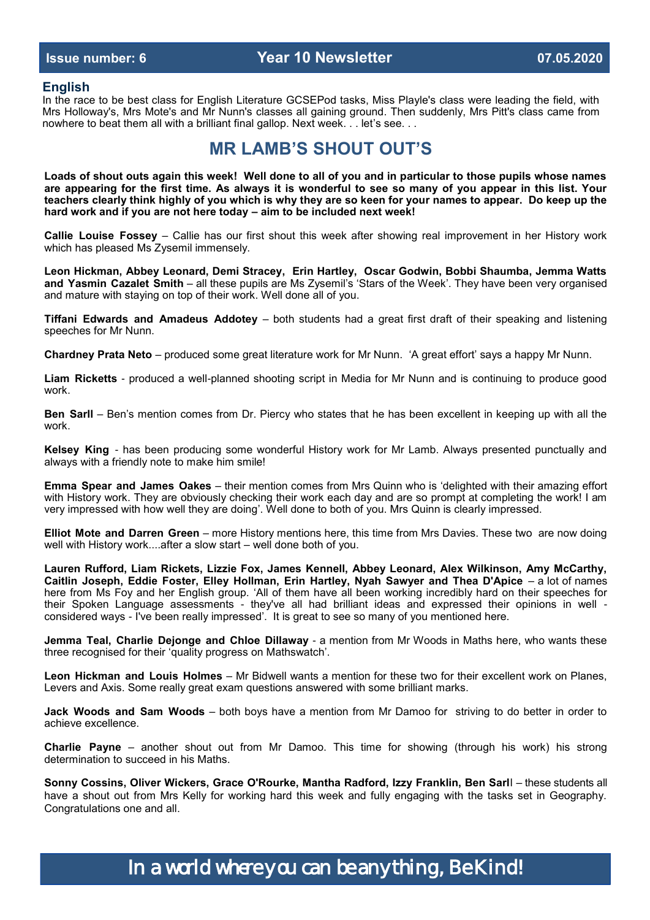#### **English**

In the race to be best class for English Literature GCSEPod tasks, Miss Playle's class were leading the field, with Mrs Holloway's, Mrs Mote's and Mr Nunn's classes all gaining ground. Then suddenly, Mrs Pitt's class came from nowhere to beat them all with a brilliant final gallop. Next week. . . let's see. . .

# **MR LAMB'S SHOUT OUT'S**

**Loads of shout outs again this week! Well done to all of you and in particular to those pupils whose names are appearing for the first time. As always it is wonderful to see so many of you appear in this list. Your teachers clearly think highly of you which is why they are so keen for your names to appear. Do keep up the hard work and if you are not here today – aim to be included next week!**

**Callie Louise Fossey** – Callie has our first shout this week after showing real improvement in her History work which has pleased Ms Zysemil immensely.

**Leon Hickman, Abbey Leonard, Demi Stracey, Erin Hartley, Oscar Godwin, Bobbi Shaumba, Jemma Watts and Yasmin Cazalet Smith** – all these pupils are Ms Zysemil's 'Stars of the Week'. They have been very organised and mature with staying on top of their work. Well done all of you.

**Tiffani Edwards and Amadeus Addotey** – both students had a great first draft of their speaking and listening speeches for Mr Nunn.

**Chardney Prata Neto** – produced some great literature work for Mr Nunn. 'A great effort' says a happy Mr Nunn.

**Liam Ricketts** - produced a well-planned shooting script in Media for Mr Nunn and is continuing to produce good work.

**Ben Sarll** – Ben's mention comes from Dr. Piercy who states that he has been excellent in keeping up with all the work.

**Kelsey King** - has been producing some wonderful History work for Mr Lamb. Always presented punctually and always with a friendly note to make him smile!

**Emma Spear and James Oakes** – their mention comes from Mrs Quinn who is 'delighted with their amazing effort with History work. They are obviously checking their work each day and are so prompt at completing the work! I am very impressed with how well they are doing'. Well done to both of you. Mrs Quinn is clearly impressed.

**Elliot Mote and Darren Green** – more History mentions here, this time from Mrs Davies. These two are now doing well with History work....after a slow start – well done both of you.

**Lauren Rufford, Liam Rickets, Lizzie Fox, James Kennell, Abbey Leonard, Alex Wilkinson, Amy McCarthy,**  Caitlin Joseph, Eddie Foster, Elley Hollman, Erin Hartley, Nyah Sawyer and Thea D'Apice - a lot of names here from Ms Foy and her English group. 'All of them have all been working incredibly hard on their speeches for their Spoken Language assessments - they've all had brilliant ideas and expressed their opinions in well considered ways - I've been really impressed'. It is great to see so many of you mentioned here.

**Jemma Teal, Charlie Dejonge and Chloe Dillaway** - a mention from Mr Woods in Maths here, who wants these three recognised for their 'quality progress on Mathswatch'.

**Leon Hickman and Louis Holmes** – Mr Bidwell wants a mention for these two for their excellent work on Planes, Levers and Axis. Some really great exam questions answered with some brilliant marks.

**Jack Woods and Sam Woods** – both boys have a mention from Mr Damoo for striving to do better in order to achieve excellence.

**Charlie Payne** – another shout out from Mr Damoo. This time for showing (through his work) his strong determination to succeed in his Maths.

**Sonny Cossins, Oliver Wickers, Grace O'Rourke, Mantha Radford, Izzy Franklin, Ben Sarl**l – these students all have a shout out from Mrs Kelly for working hard this week and fully engaging with the tasks set in Geography. Congratulations one and all.

In a world where you can be anything, Be Kind!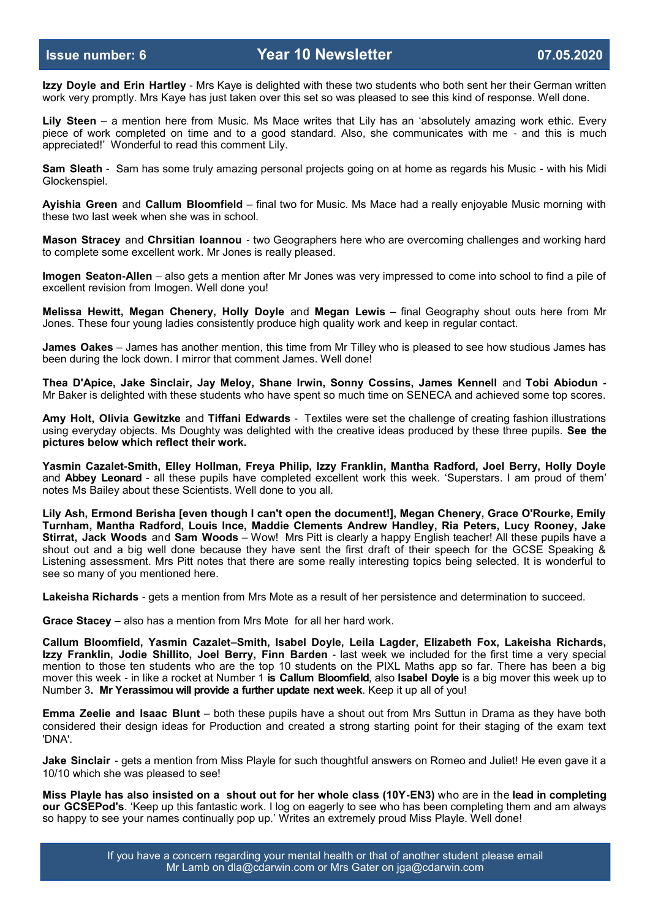**Izzy Doyle and Erin Hartley** - Mrs Kaye is delighted with these two students who both sent her their German written work very promptly. Mrs Kaye has just taken over this set so was pleased to see this kind of response. Well done.

**Lily Steen** – a mention here from Music. Ms Mace writes that Lily has an 'absolutely amazing work ethic. Every piece of work completed on time and to a good standard. Also, she communicates with me - and this is much appreciated!' Wonderful to read this comment Lily.

**Sam Sleath** - Sam has some truly amazing personal projects going on at home as regards his Music - with his Midi Glockenspiel.

**Ayishia Green** and **Callum Bloomfield** – final two for Music. Ms Mace had a really enjoyable Music morning with these two last week when she was in school.

**Mason Stracey** and **Chrsitian Ioannou** - two Geographers here who are overcoming challenges and working hard to complete some excellent work. Mr Jones is really pleased.

**Imogen Seaton-Allen** – also gets a mention after Mr Jones was very impressed to come into school to find a pile of excellent revision from Imogen. Well done you!

**Melissa Hewitt, Megan Chenery, Holly Doyle** and **Megan Lewis** – final Geography shout outs here from Mr Jones. These four young ladies consistently produce high quality work and keep in regular contact.

**James Oakes** – James has another mention, this time from Mr Tilley who is pleased to see how studious James has been during the lock down. I mirror that comment James. Well done!

**Thea D'Apice, Jake Sinclair, Jay Meloy, Shane Irwin, Sonny Cossins, James Kennell** and **Tobi Abiodun -** Mr Baker is delighted with these students who have spent so much time on SENECA and achieved some top scores.

**Amy Holt, Olivia Gewitzke** and **Tiffani Edwards** - Textiles were set the challenge of creating fashion illustrations using everyday objects. Ms Doughty was delighted with the creative ideas produced by these three pupils. **See the pictures below which reflect their work.** 

**Yasmin Cazalet-Smith, Elley Hollman, Freya Philip, Izzy Franklin, Mantha Radford, Joel Berry, Holly Doyle**  and **Abbey Leonard** - all these pupils have completed excellent work this week. 'Superstars. I am proud of them' notes Ms Bailey about these Scientists. Well done to you all.

**Lily Ash, Ermond Berisha [even though I can't open the document!], Megan Chenery, Grace O'Rourke, Emily Turnham, Mantha Radford, Louis Ince, Maddie Clements Andrew Handley, Ria Peters, Lucy Rooney, Jake Stirrat, Jack Woods** and **Sam Woods** – Wow! Mrs Pitt is clearly a happy English teacher! All these pupils have a shout out and a big well done because they have sent the first draft of their speech for the GCSE Speaking & Listening assessment. Mrs Pitt notes that there are some really interesting topics being selected. It is wonderful to see so many of you mentioned here.

**Lakeisha Richards** - gets a mention from Mrs Mote as a result of her persistence and determination to succeed.

**Grace Stacey** – also has a mention from Mrs Mote for all her hard work.

**Callum Bloomfield, Yasmin Cazalet–Smith, Isabel Doyle, Leila Lagder, Elizabeth Fox, Lakeisha Richards, Izzy Franklin, Jodie Shillito, Joel Berry, Finn Barden** - last week we included for the first time a very special mention to those ten students who are the top 10 students on the PIXL Maths app so far. There has been a big mover this week - in like a rocket at Number 1 **is Callum Bloomfield**, also **Isabel Doyle** is a big mover this week up to Number 3**. Mr Yerassimou will provide a further update next week**. Keep it up all of you!

**Emma Zeelie and Isaac Blunt** – both these pupils have a shout out from Mrs Suttun in Drama as they have both considered their design ideas for Production and created a strong starting point for their staging of the exam text 'DNA'.

**Jake Sinclair** - gets a mention from Miss Playle for such thoughtful answers on Romeo and Juliet! He even gave it a 10/10 which she was pleased to see!

**Miss Playle has also insisted on a shout out for her whole class (10Y-EN3)** who are in the **lead in completing our GCSEPod's**. 'Keep up this fantastic work. I log on eagerly to see who has been completing them and am always so happy to see your names continually pop up.' Writes an extremely proud Miss Playle. Well done!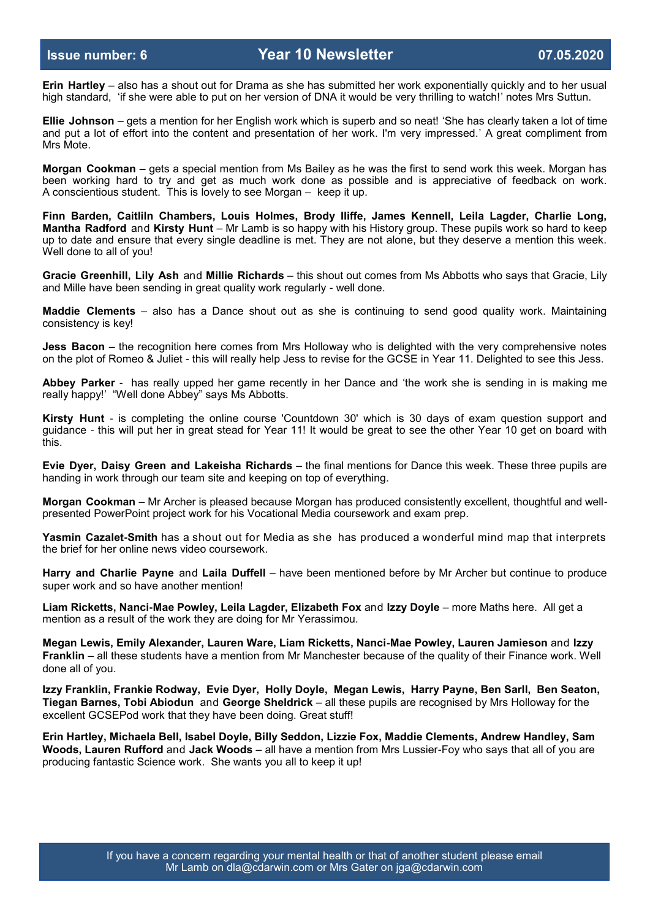**Erin Hartley** – also has a shout out for Drama as she has submitted her work exponentially quickly and to her usual high standard, 'if she were able to put on her version of DNA it would be very thrilling to watch!' notes Mrs Suttun.

**Ellie Johnson** – gets a mention for her English work which is superb and so neat! 'She has clearly taken a lot of time and put a lot of effort into the content and presentation of her work. I'm very impressed.' A great compliment from Mrs Mote.

**Morgan Cookman** – gets a special mention from Ms Bailey as he was the first to send work this week. Morgan has been working hard to try and get as much work done as possible and is appreciative of feedback on work. A conscientious student. This is lovely to see Morgan – keep it up.

**Finn Barden, Caitliln Chambers, Louis Holmes, Brody Iliffe, James Kennell, Leila Lagder, Charlie Long, Mantha Radford** and **Kirsty Hunt** – Mr Lamb is so happy with his History group. These pupils work so hard to keep up to date and ensure that every single deadline is met. They are not alone, but they deserve a mention this week. Well done to all of you!

**Gracie Greenhill, Lily Ash** and **Millie Richards** – this shout out comes from Ms Abbotts who says that Gracie, Lily and Mille have been sending in great quality work regularly - well done.

**Maddie Clements** – also has a Dance shout out as she is continuing to send good quality work. Maintaining consistency is key!

**Jess Bacon** – the recognition here comes from Mrs Holloway who is delighted with the very comprehensive notes on the plot of Romeo & Juliet - this will really help Jess to revise for the GCSE in Year 11. Delighted to see this Jess.

**Abbey Parker** - has really upped her game recently in her Dance and 'the work she is sending in is making me really happy!' "Well done Abbey" says Ms Abbotts.

**Kirsty Hunt** - is completing the online course 'Countdown 30' which is 30 days of exam question support and guidance - this will put her in great stead for Year 11! It would be great to see the other Year 10 get on board with this.

**Evie Dyer, Daisy Green and Lakeisha Richards** – the final mentions for Dance this week. These three pupils are handing in work through our team site and keeping on top of everything.

**Morgan Cookman** – Mr Archer is pleased because Morgan has produced consistently excellent, thoughtful and wellpresented PowerPoint project work for his Vocational Media coursework and exam prep.

**Yasmin Cazalet-Smith** has a shout out for Media as she has produced a wonderful mind map that interprets the brief for her online news video coursework.

**Harry and Charlie Payne** and **Laila Duffell** – have been mentioned before by Mr Archer but continue to produce super work and so have another mention!

**Liam Ricketts, Nanci-Mae Powley, Leila Lagder, Elizabeth Fox** and **Izzy Doyle** – more Maths here. All get a mention as a result of the work they are doing for Mr Yerassimou.

**Megan Lewis, Emily Alexander, Lauren Ware, Liam Ricketts, Nanci-Mae Powley, Lauren Jamieson** and **Izzy Franklin** – all these students have a mention from Mr Manchester because of the quality of their Finance work. Well done all of you.

**Izzy Franklin, Frankie Rodway, Evie Dyer, Holly Doyle, Megan Lewis, Harry Payne, Ben Sarll, Ben Seaton, Tiegan Barnes, Tobi Abiodun** and **George Sheldrick** – all these pupils are recognised by Mrs Holloway for the excellent GCSEPod work that they have been doing. Great stuff!

**Erin Hartley, Michaela Bell, Isabel Doyle, Billy Seddon, Lizzie Fox, Maddie Clements, Andrew Handley, Sam Woods, Lauren Rufford** and **Jack Woods** – all have a mention from Mrs Lussier-Foy who says that all of you are producing fantastic Science work. She wants you all to keep it up!